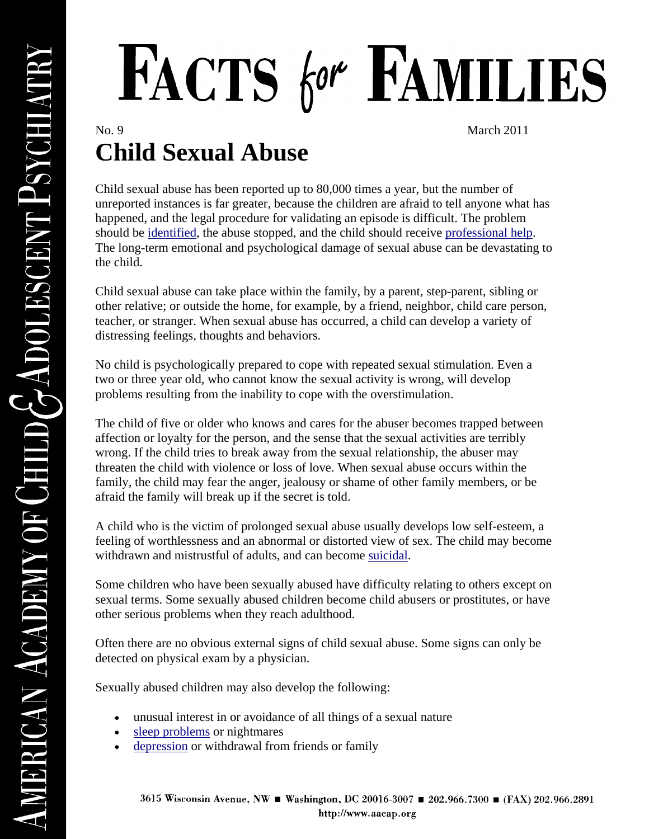## FACTS for FAMILIES

No. 9 March 2011

## **Child Sexual Abuse**

Child sexual abuse has been reported up to 80,000 times a year, but the number of unreported instances is far greater, because the children are afraid to tell anyone what has happened, and the legal procedure for validating an episode is difficult. The problem should be [identified,](http://www.aacap.org/cs/root/facts_for_families/responding_to_child_sexual_abuse) the abuse stopped, and the child should receive [professional help.](http://www.aacap.org/cs/root/facts_for_families/where_to_find_help_for_your_child) The long-term emotional and psychological damage of sexual abuse can be devastating to the child.

Child sexual abuse can take place within the family, by a parent, step-parent, sibling or other relative; or outside the home, for example, by a friend, neighbor, child care person, teacher, or stranger. When sexual abuse has occurred, a child can develop a variety of distressing feelings, thoughts and behaviors.

No child is psychologically prepared to cope with repeated sexual stimulation. Even a two or three year old, who cannot know the sexual activity is wrong, will develop problems resulting from the inability to cope with the overstimulation.

The child of five or older who knows and cares for the abuser becomes trapped between affection or loyalty for the person, and the sense that the sexual activities are terribly wrong. If the child tries to break away from the sexual relationship, the abuser may threaten the child with violence or loss of love. When sexual abuse occurs within the family, the child may fear the anger, jealousy or shame of other family members, or be afraid the family will break up if the secret is told.

A child who is the victim of prolonged sexual abuse usually develops low self-esteem, a feeling of worthlessness and an abnormal or distorted view of sex. The child may become withdrawn and mistrustful of adults, and can become [suicidal.](http://www.aacap.org/cs/root/facts_for_families/teen_suicide)

Some children who have been sexually abused have difficulty relating to others except on sexual terms. Some sexually abused children become child abusers or prostitutes, or have other serious problems when they reach adulthood.

Often there are no obvious external signs of child sexual abuse. Some signs can only be detected on physical exam by a physician.

Sexually abused children may also develop the following:

- unusual interest in or avoidance of all things of a sexual nature
- [sleep problems](http://www.aacap.org/cs/root/facts_for_families/childrens_sleep_problems) or nightmares
- [depression](http://www.aacap.org/cs/root/facts_for_families/the_depressed_child) or withdrawal from friends or family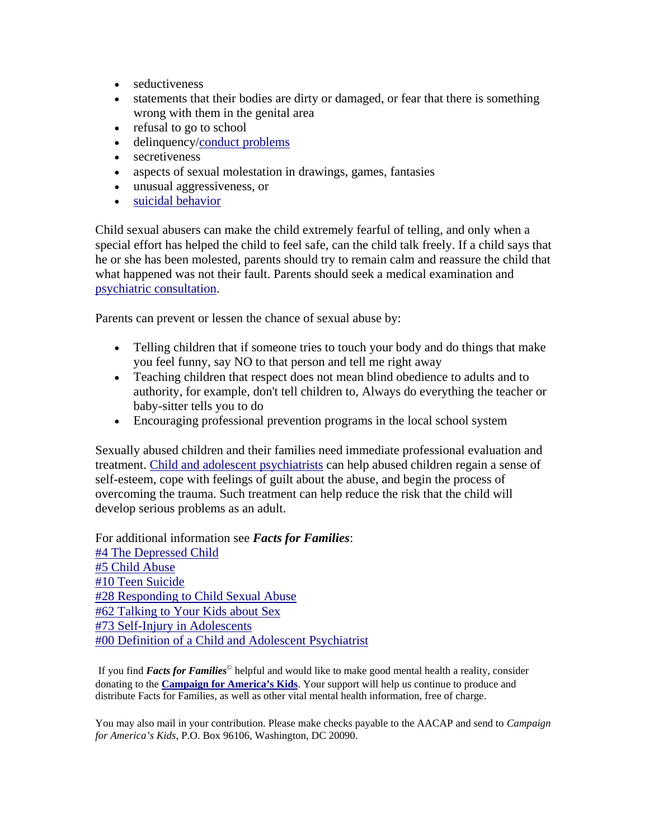- seductiveness
- statements that their bodies are dirty or damaged, or fear that there is something wrong with them in the genital area
- refusal to go to school
- delinquency[/conduct problems](http://www.aacap.org/cs/root/facts_for_families/conduct_disorder)
- secretiveness
- aspects of sexual molestation in drawings, games, fantasies
- unusual aggressiveness, or
- [suicidal behavior](http://www.aacap.org/cs/root/facts_for_families/teen_suicide)

Child sexual abusers can make the child extremely fearful of telling, and only when a special effort has helped the child to feel safe, can the child talk freely. If a child says that he or she has been molested, parents should try to remain calm and reassure the child that what happened was not their fault. Parents should seek a medical examination and [psychiatric consultation.](http://www.aacap.org/cs/root/facts_for_families/comprehensive_psychiatric_evaluation)

Parents can prevent or lessen the chance of sexual abuse by:

- Telling children that if someone tries to touch your body and do things that make you feel funny, say NO to that person and tell me right away
- Teaching children that respect does not mean blind obedience to adults and to authority, for example, don't tell children to, Always do everything the teacher or baby-sitter tells you to do
- Encouraging professional prevention programs in the local school system

Sexually abused children and their families need immediate professional evaluation and treatment. [Child and adolescent psychiatrists](http://www.aacap.org/cs/root/facts_for_families/the_child_and_adolescent_psychiatrist) can help abused children regain a sense of self-esteem, cope with feelings of guilt about the abuse, and begin the process of overcoming the trauma. Such treatment can help reduce the risk that the child will develop serious problems as an adult.

For additional information see *Facts for Families*: [#4 The Depressed Child](http://www.aacap.org/cs/root/facts_for_families/the_depressed_child) [#5 Child Abuse](http://www.aacap.org/cs/root/facts_for_families/child_abuse_the_hidden_bruises) [#10 Teen Suicide](http://www.aacap.org/cs/root/facts_for_families/teen_suicide) [#28 Responding to Child Sexual Abuse](http://www.aacap.org/cs/root/facts_for_families/responding_to_child_sexual_abuse) [#62 Talking to Your Kids about Sex](http://www.aacap.org/cs/root/facts_for_families/talking_to_your_kids_about_sex) [#73 Self-Injury in Adolescents](http://www.aacap.org/cs/root/facts_for_families/selfinjury_in_adolescents) [#00 Definition of a Child and Adolescent Psychiatrist](http://www.aacap.org/cs/root/facts_for_families/the_child_and_adolescent_psychiatrist)

If you find *Facts for Families*© helpful and would like to make good mental health a reality, consider donating to the **Campaign for America's Kids**. Your support will help us continue to produce and distribute Facts for Families, as well as other vital mental health information, free of charge.

You may also mail in your contribution. Please make checks payable to the AACAP and send to *Campaign for America's Kids*, P.O. Box 96106, Washington, DC 20090.